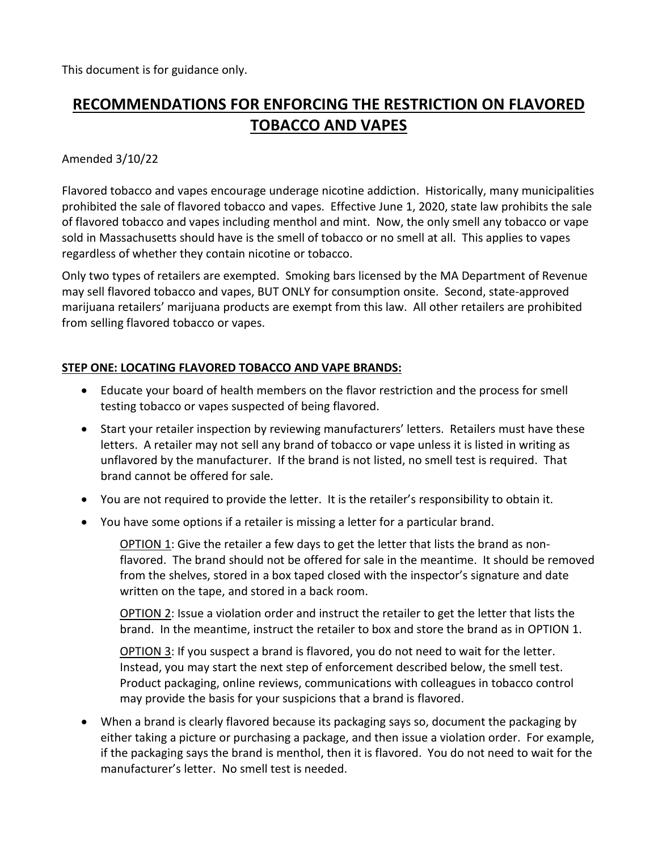This document is for guidance only.

# **RECOMMENDATIONS FOR ENFORCING THE RESTRICTION ON FLAVORED TOBACCO AND VAPES**

### Amended 3/10/22

Flavored tobacco and vapes encourage underage nicotine addiction. Historically, many municipalities prohibited the sale of flavored tobacco and vapes. Effective June 1, 2020, state law prohibits the sale of flavored tobacco and vapes including menthol and mint. Now, the only smell any tobacco or vape sold in Massachusetts should have is the smell of tobacco or no smell at all. This applies to vapes regardless of whether they contain nicotine or tobacco.

Only two types of retailers are exempted. Smoking bars licensed by the MA Department of Revenue may sell flavored tobacco and vapes, BUT ONLY for consumption onsite. Second, state-approved marijuana retailers' marijuana products are exempt from this law. All other retailers are prohibited from selling flavored tobacco or vapes.

#### **STEP ONE: LOCATING FLAVORED TOBACCO AND VAPE BRANDS:**

- Educate your board of health members on the flavor restriction and the process for smell testing tobacco or vapes suspected of being flavored.
- Start your retailer inspection by reviewing manufacturers' letters. Retailers must have these letters. A retailer may not sell any brand of tobacco or vape unless it is listed in writing as unflavored by the manufacturer. If the brand is not listed, no smell test is required. That brand cannot be offered for sale.
- You are not required to provide the letter. It is the retailer's responsibility to obtain it.
- You have some options if a retailer is missing a letter for a particular brand.

OPTION 1: Give the retailer a few days to get the letter that lists the brand as nonflavored. The brand should not be offered for sale in the meantime. It should be removed from the shelves, stored in a box taped closed with the inspector's signature and date written on the tape, and stored in a back room.

OPTION 2: Issue a violation order and instruct the retailer to get the letter that lists the brand. In the meantime, instruct the retailer to box and store the brand as in OPTION 1.

OPTION 3: If you suspect a brand is flavored, you do not need to wait for the letter. Instead, you may start the next step of enforcement described below, the smell test. Product packaging, online reviews, communications with colleagues in tobacco control may provide the basis for your suspicions that a brand is flavored.

• When a brand is clearly flavored because its packaging says so, document the packaging by either taking a picture or purchasing a package, and then issue a violation order. For example, if the packaging says the brand is menthol, then it is flavored. You do not need to wait for the manufacturer's letter. No smell test is needed.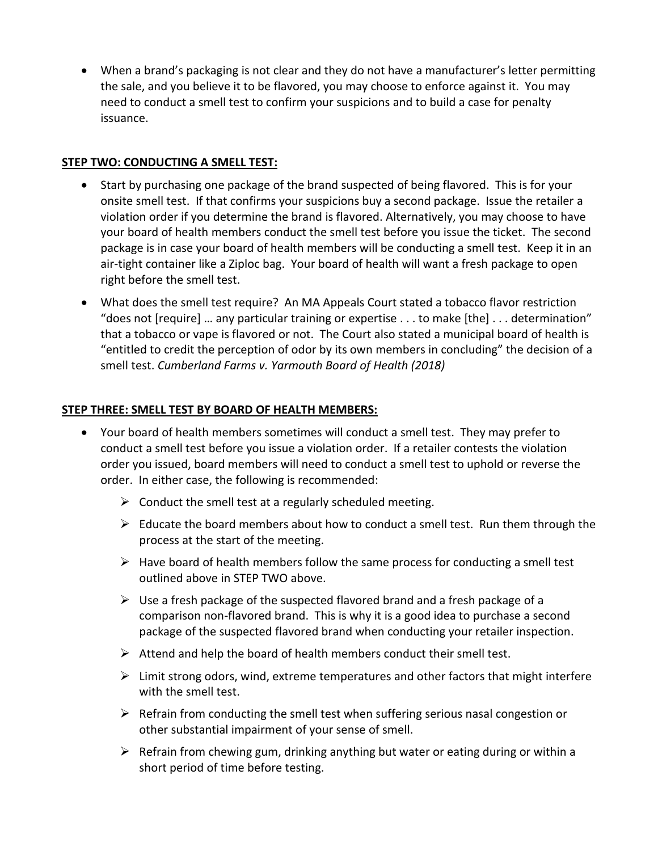• When a brand's packaging is not clear and they do not have a manufacturer's letter permitting the sale, and you believe it to be flavored, you may choose to enforce against it. You may need to conduct a smell test to confirm your suspicions and to build a case for penalty issuance.

## **STEP TWO: CONDUCTING A SMELL TEST:**

- Start by purchasing one package of the brand suspected of being flavored. This is for your onsite smell test. If that confirms your suspicions buy a second package. Issue the retailer a violation order if you determine the brand is flavored. Alternatively, you may choose to have your board of health members conduct the smell test before you issue the ticket. The second package is in case your board of health members will be conducting a smell test. Keep it in an air-tight container like a Ziploc bag. Your board of health will want a fresh package to open right before the smell test.
- What does the smell test require? An MA Appeals Court stated a tobacco flavor restriction "does not [require] … any particular training or expertise . . . to make [the] . . . determination" that a tobacco or vape is flavored or not. The Court also stated a municipal board of health is "entitled to credit the perception of odor by its own members in concluding" the decision of a smell test. *Cumberland Farms v. Yarmouth Board of Health (2018)*

## **STEP THREE: SMELL TEST BY BOARD OF HEALTH MEMBERS:**

- Your board of health members sometimes will conduct a smell test. They may prefer to conduct a smell test before you issue a violation order. If a retailer contests the violation order you issued, board members will need to conduct a smell test to uphold or reverse the order. In either case, the following is recommended:
	- $\triangleright$  Conduct the smell test at a regularly scheduled meeting.
	- $\triangleright$  Educate the board members about how to conduct a smell test. Run them through the process at the start of the meeting.
	- $\triangleright$  Have board of health members follow the same process for conducting a smell test outlined above in STEP TWO above.
	- $\triangleright$  Use a fresh package of the suspected flavored brand and a fresh package of a comparison non-flavored brand. This is why it is a good idea to purchase a second package of the suspected flavored brand when conducting your retailer inspection.
	- $\triangleright$  Attend and help the board of health members conduct their smell test.
	- $\triangleright$  Limit strong odors, wind, extreme temperatures and other factors that might interfere with the smell test.
	- $\triangleright$  Refrain from conducting the smell test when suffering serious nasal congestion or other substantial impairment of your sense of smell.
	- $\triangleright$  Refrain from chewing gum, drinking anything but water or eating during or within a short period of time before testing.